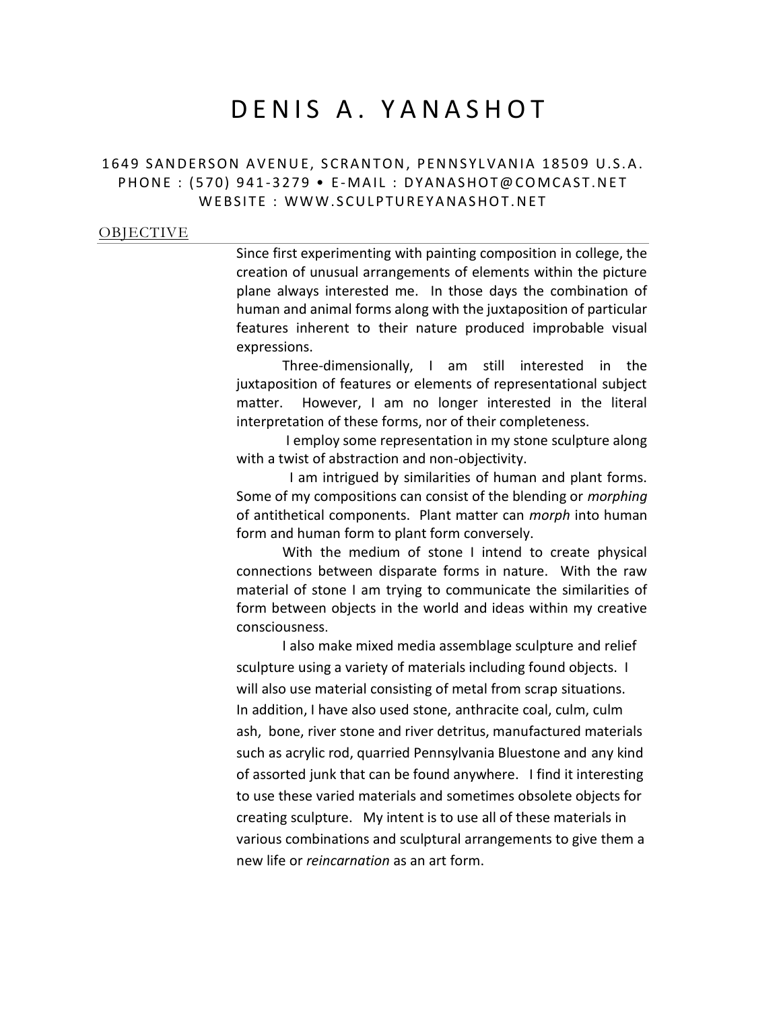# DENIS A. YANASHOT

# 1649 SANDERSON AVENUE, SCRANTON, PENNSYLVANIA 18509 U.S.A. PHONE: (570) 941-3279 • E-MAIL: DYANASHOT@COMCAST.NET WEBSITE: WWW.SCULPTUREYANASHOT.NET

#### **[OBJECTIVE](http://www.cvtips.com/docfiles/sample_CV_1.doc#Objective Help)**

Since first experimenting with painting composition in college, the creation of unusual arrangements of elements within the picture plane always interested me. In those days the combination of human and animal forms along with the juxtaposition of particular features inherent to their nature produced improbable visual expressions.

Three-dimensionally, I am still interested in the juxtaposition of features or elements of representational subject matter. However, I am no longer interested in the literal interpretation of these forms, nor of their completeness.

I employ some representation in my stone sculpture along with a twist of abstraction and non-objectivity.

 I am intrigued by similarities of human and plant forms. Some of my compositions can consist of the blending or *morphing* of antithetical components. Plant matter can *morph* into human form and human form to plant form conversely.

With the medium of stone I intend to create physical connections between disparate forms in nature. With the raw material of stone I am trying to communicate the similarities of form between objects in the world and ideas within my creative consciousness.

I also make mixed media assemblage sculpture and relief sculpture using a variety of materials including found objects. I will also use material consisting of metal from scrap situations. In addition, I have also used stone, anthracite coal, culm, culm ash, bone, river stone and river detritus, manufactured materials such as acrylic rod, quarried Pennsylvania Bluestone and any kind of assorted junk that can be found anywhere. I find it interesting to use these varied materials and sometimes obsolete objects for creating sculpture. My intent is to use all of these materials in various combinations and sculptural arrangements to give them a new life or *reincarnation* as an art form.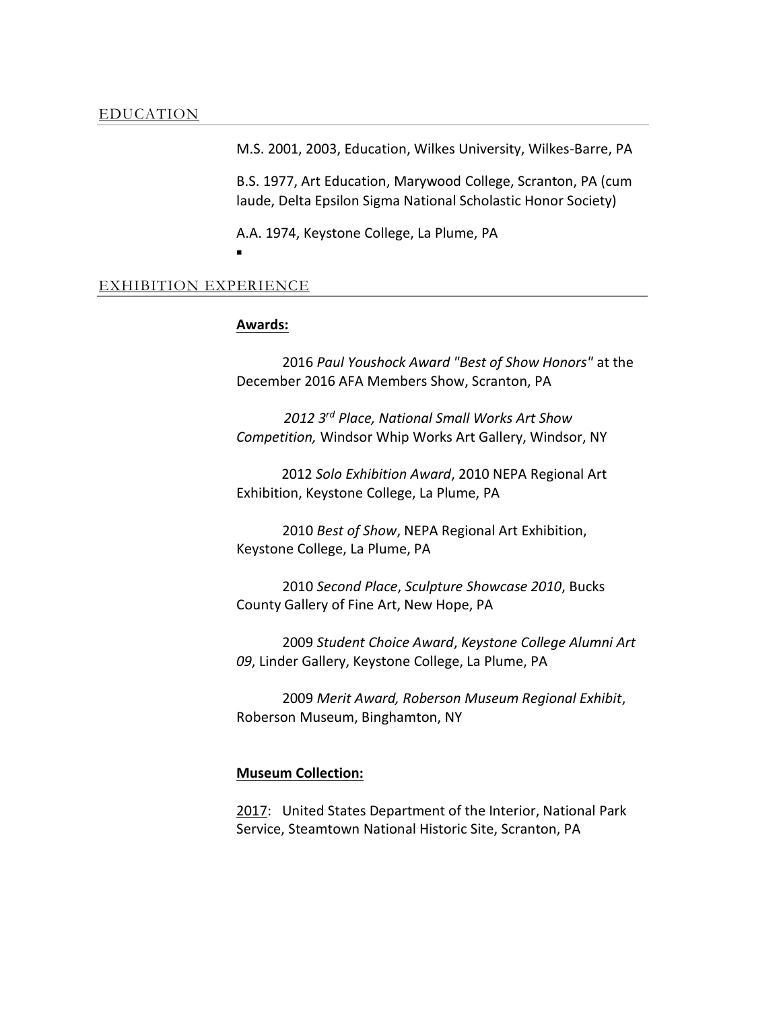M.S. 2001, 2003, Education, Wilkes University, Wilkes-Barre, PA

B.S. 1977, Art Education, Marywood College, Scranton, PA (cum laude, Delta Epsilon Sigma National Scholastic Honor Society)

A.A. 1974, Keystone College, La Plume, PA

Ξ

## EXHIBITION [EXPERIENCE](http://www.cvtips.com/docfiles/sample_CV_1.doc#Work Experience Help)

#### **Awards:**

2016 *Paul Youshock Award "Best of Show Honors"* at the December 2016 AFA Members Show, Scranton, PA

 *2012 3 rd Place, National Small Works Art Show Competition,* Windsor Whip Works Art Gallery, Windsor, NY

 2012 *Solo Exhibition Award*, 2010 NEPA Regional Art Exhibition, Keystone College, La Plume, PA

2010 *Best of Show*, NEPA Regional Art Exhibition, Keystone College, La Plume, PA

2010 *Second Place*, *Sculpture Showcase 2010*, Bucks County Gallery of Fine Art, New Hope, PA

2009 *Student Choice Award*, *Keystone College Alumni Art 09*, Linder Gallery, Keystone College, La Plume, PA

2009 *Merit Award, Roberson Museum Regional Exhibit*, Roberson Museum, Binghamton, NY

#### **Museum Collection:**

2017: United States Department of the Interior, National Park Service, Steamtown National Historic Site, Scranton, PA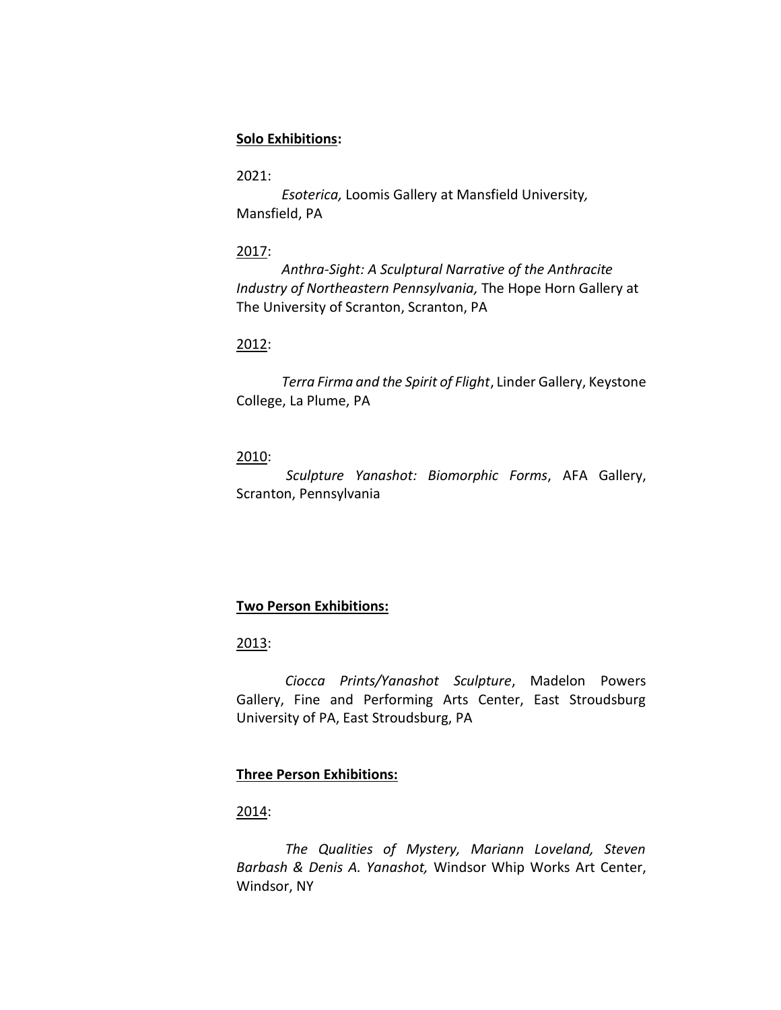# **Solo Exhibitions:**

# 2021:

 *Esoterica,* Loomis Gallery at Mansfield University*,* Mansfield, PA

## 2017:

 *Anthra-Sight: A Sculptural Narrative of the Anthracite Industry of Northeastern Pennsylvania,* The Hope Horn Gallery at The University of Scranton, Scranton, PA

# 2012:

*Terra Firma and the Spirit of Flight*, Linder Gallery, Keystone College, La Plume, PA

# 2010:

*Sculpture Yanashot: Biomorphic Forms*, AFA Gallery, Scranton, Pennsylvania

# **Two Person Exhibitions:**

## 2013:

 *Ciocca Prints/Yanashot Sculpture*, Madelon Powers Gallery, Fine and Performing Arts Center, East Stroudsburg University of PA, East Stroudsburg, PA

# **Three Person Exhibitions:**

## 2014:

 *The Qualities of Mystery, Mariann Loveland, Steven Barbash & Denis A. Yanashot,* Windsor Whip Works Art Center, Windsor, NY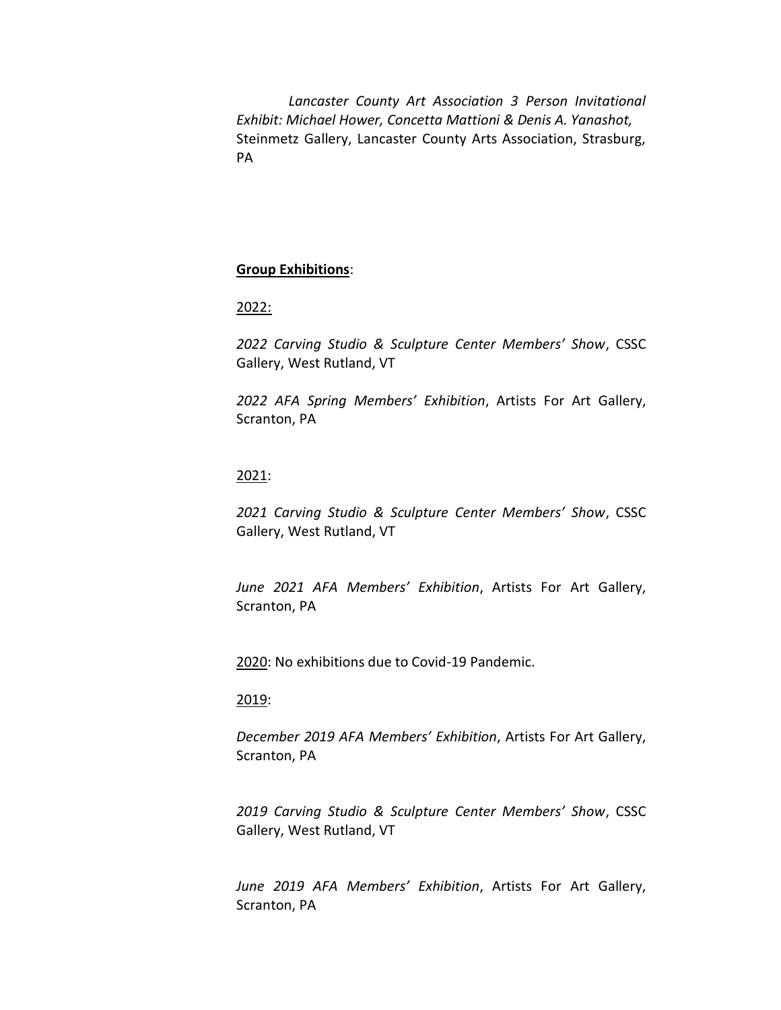*Lancaster County Art Association 3 Person Invitational Exhibit: Michael Hower, Concetta Mattioni & Denis A. Yanashot,*  Steinmetz Gallery, Lancaster County Arts Association, Strasburg, PA

## **Group Exhibitions**:

## 2022:

*2022 Carving Studio & Sculpture Center Members' Show*, CSSC Gallery, West Rutland, VT

*2022 AFA Spring Members' Exhibition*, Artists For Art Gallery, Scranton, PA

#### 2021:

*2021 Carving Studio & Sculpture Center Members' Show*, CSSC Gallery, West Rutland, VT

*June 2021 AFA Members' Exhibition*, Artists For Art Gallery, Scranton, PA

2020: No exhibitions due to Covid-19 Pandemic.

#### 2019:

*December 2019 AFA Members' Exhibition*, Artists For Art Gallery, Scranton, PA

*2019 Carving Studio & Sculpture Center Members' Show*, CSSC Gallery, West Rutland, VT

*June 2019 AFA Members' Exhibition*, Artists For Art Gallery, Scranton, PA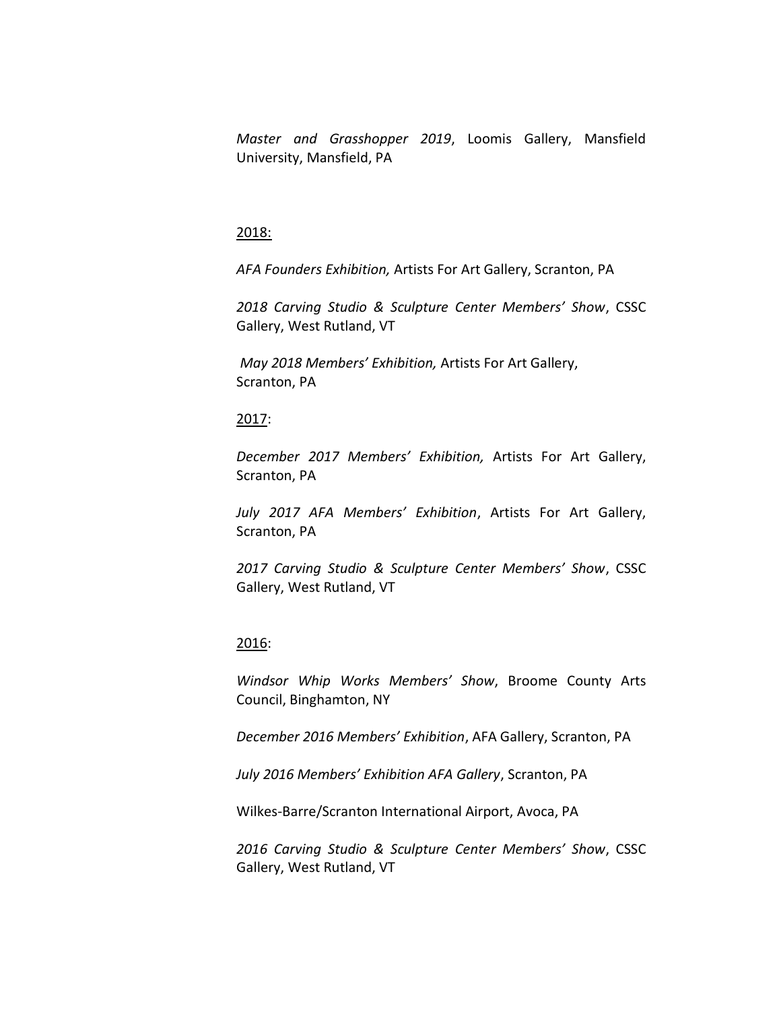*Master and Grasshopper 2019*, Loomis Gallery, Mansfield University, Mansfield, PA

## 2018:

*AFA Founders Exhibition,* Artists For Art Gallery, Scranton, PA

*2018 Carving Studio & Sculpture Center Members' Show*, CSSC Gallery, West Rutland, VT

*May 2018 Members' Exhibition,* Artists For Art Gallery, Scranton, PA

#### 2017:

*December 2017 Members' Exhibition,* Artists For Art Gallery, Scranton, PA

*July 2017 AFA Members' Exhibition*, Artists For Art Gallery, Scranton, PA

*2017 Carving Studio & Sculpture Center Members' Show*, CSSC Gallery, West Rutland, VT

#### 2016:

*Windsor Whip Works Members' Show*, Broome County Arts Council, Binghamton, NY

*December 2016 Members' Exhibition*, AFA Gallery, Scranton, PA

*July 2016 Members' Exhibition AFA Gallery*, Scranton, PA

Wilkes-Barre/Scranton International Airport, Avoca, PA

*2016 Carving Studio & Sculpture Center Members' Show*, CSSC Gallery, West Rutland, VT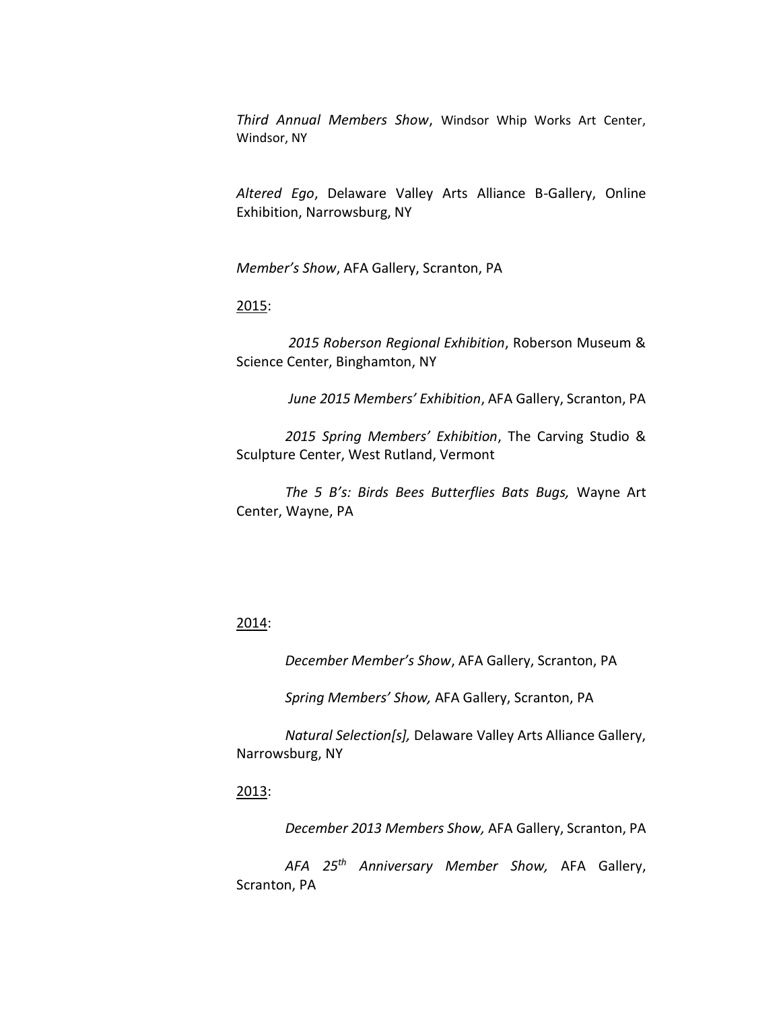*Third Annual Members Show*, Windsor Whip Works Art Center, Windsor, NY

*Altered Ego*, Delaware Valley Arts Alliance B-Gallery, Online Exhibition, Narrowsburg, NY

*Member's Show*, AFA Gallery, Scranton, PA

#### 2015:

 *2015 Roberson Regional Exhibition*, Roberson Museum & Science Center, Binghamton, NY

 *June 2015 Members' Exhibition*, AFA Gallery, Scranton, PA

 *2015 Spring Members' Exhibition*, The Carving Studio & Sculpture Center, West Rutland, Vermont

 *The 5 B's: Birds Bees Butterflies Bats Bugs,* Wayne Art Center, Wayne, PA

## 2014:

*December Member's Show*, AFA Gallery, Scranton, PA

*Spring Members' Show,* AFA Gallery, Scranton, PA

 *Natural Selection[s],* Delaware Valley Arts Alliance Gallery, Narrowsburg, NY

### 2013:

*December 2013 Members Show,* AFA Gallery, Scranton, PA

 *AFA 25th Anniversary Member Show,* AFA Gallery, Scranton, PA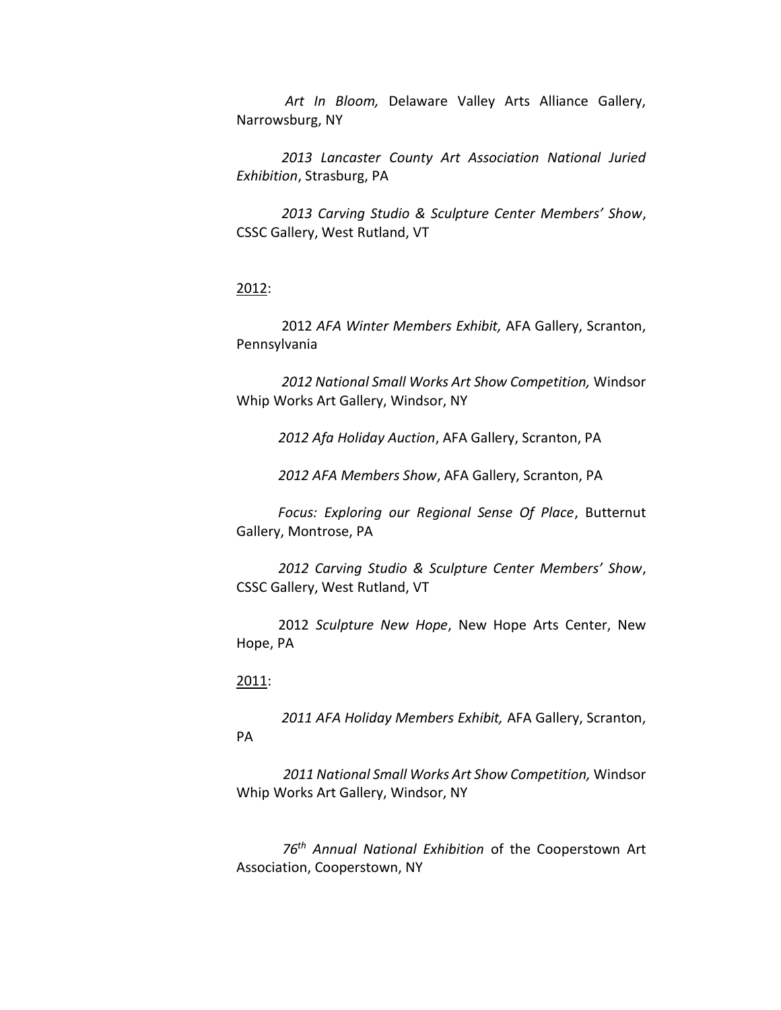*Art In Bloom,* Delaware Valley Arts Alliance Gallery, Narrowsburg, NY

 *2013 Lancaster County Art Association National Juried Exhibition*, Strasburg, PA

 *2013 Carving Studio & Sculpture Center Members' Show*, CSSC Gallery, West Rutland, VT

## 2012:

 2012 *AFA Winter Members Exhibit,* AFA Gallery, Scranton, Pennsylvania

 *2012 National Small Works Art Show Competition,* Windsor Whip Works Art Gallery, Windsor, NY

 *2012 Afa Holiday Auction*, AFA Gallery, Scranton, PA

*2012 AFA Members Show*, AFA Gallery, Scranton, PA

 *Focus: Exploring our Regional Sense Of Place*, Butternut Gallery, Montrose, PA

 *2012 Carving Studio & Sculpture Center Members' Show*, CSSC Gallery, West Rutland, VT

 2012 *Sculpture New Hope*, New Hope Arts Center, New Hope, PA

# 2011:

 *2011 AFA Holiday Members Exhibit,* AFA Gallery, Scranton, PA

 *2011 National Small Works Art Show Competition,* Windsor Whip Works Art Gallery, Windsor, NY

*76th Annual National Exhibition* of the Cooperstown Art Association, Cooperstown, NY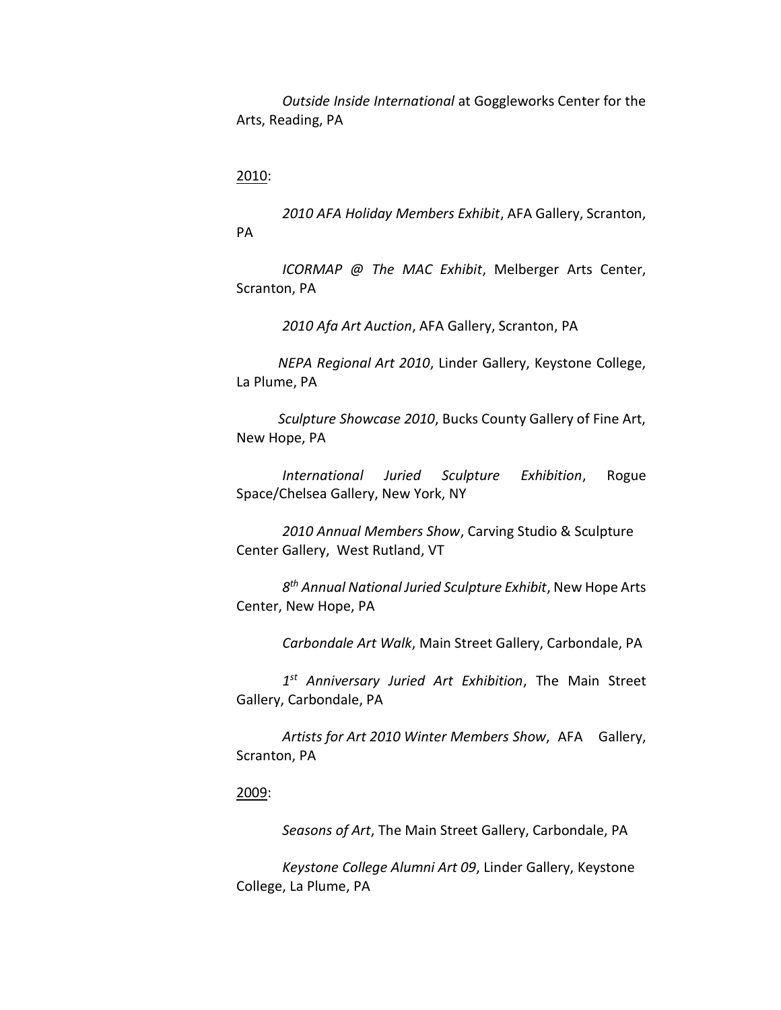*Outside Inside International* at Goggleworks Center for the Arts, Reading, PA

# 2010:

*2010 AFA Holiday Members Exhibit*, AFA Gallery, Scranton, PA

*ICORMAP @ The MAC Exhibit*, Melberger Arts Center, Scranton, PA

*2010 Afa Art Auction*, AFA Gallery, Scranton, PA

 *NEPA Regional Art 2010*, Linder Gallery, Keystone College, La Plume, PA

 *Sculpture Showcase 2010*, Bucks County Gallery of Fine Art, New Hope, PA

 *International Juried Sculpture Exhibition*, Rogue Space/Chelsea Gallery, New York, NY

*2010 Annual Members Show*, Carving Studio & Sculpture Center Gallery, West Rutland, VT

*8 th Annual National Juried Sculpture Exhibit*, New Hope Arts Center, New Hope, PA

*Carbondale Art Walk*, Main Street Gallery, Carbondale, PA

*1 st Anniversary Juried Art Exhibition*, The Main Street Gallery, Carbondale, PA

*Artists for Art 2010 Winter Members Show*, AFA Gallery, Scranton, PA

# 2009:

*Seasons of Art*, The Main Street Gallery, Carbondale, PA

*Keystone College Alumni Art 09*, Linder Gallery, Keystone College, La Plume, PA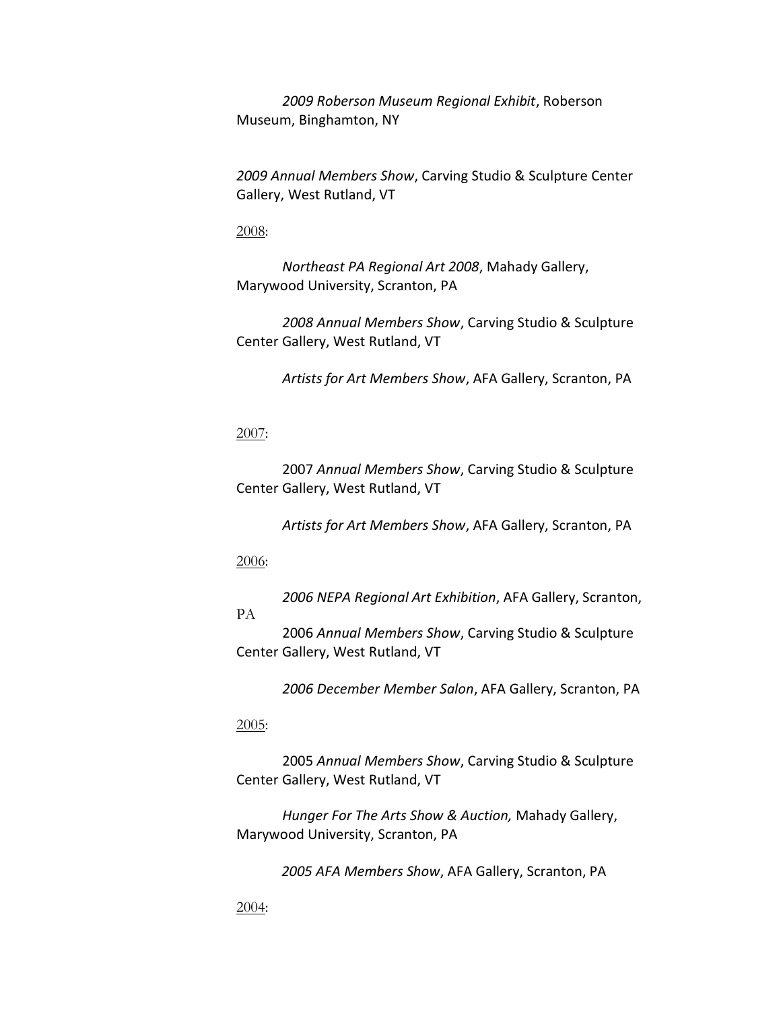*2009 Roberson Museum Regional Exhibit*, Roberson Museum, Binghamton, NY

*2009 Annual Members Show*, Carving Studio & Sculpture Center Gallery, West Rutland, VT

2008:

*Northeast PA Regional Art 2008*, Mahady Gallery, Marywood University, Scranton, PA

*2008 Annual Members Show*, Carving Studio & Sculpture Center Gallery, West Rutland, VT

*Artists for Art Members Show*, AFA Gallery, Scranton, PA

2007:

2007 *Annual Members Show*, Carving Studio & Sculpture Center Gallery, West Rutland, VT

*Artists for Art Members Show*, AFA Gallery, Scranton, PA

2006:

*2006 NEPA Regional Art Exhibition*, AFA Gallery, Scranton,

PA

2006 *Annual Members Show*, Carving Studio & Sculpture Center Gallery, West Rutland, VT

*2006 December Member Salon*, AFA Gallery, Scranton, PA

2005:

2005 *Annual Members Show*, Carving Studio & Sculpture Center Gallery, West Rutland, VT

*Hunger For The Arts Show & Auction,* Mahady Gallery, Marywood University, Scranton, PA

*2005 AFA Members Show*, AFA Gallery, Scranton, PA

2004: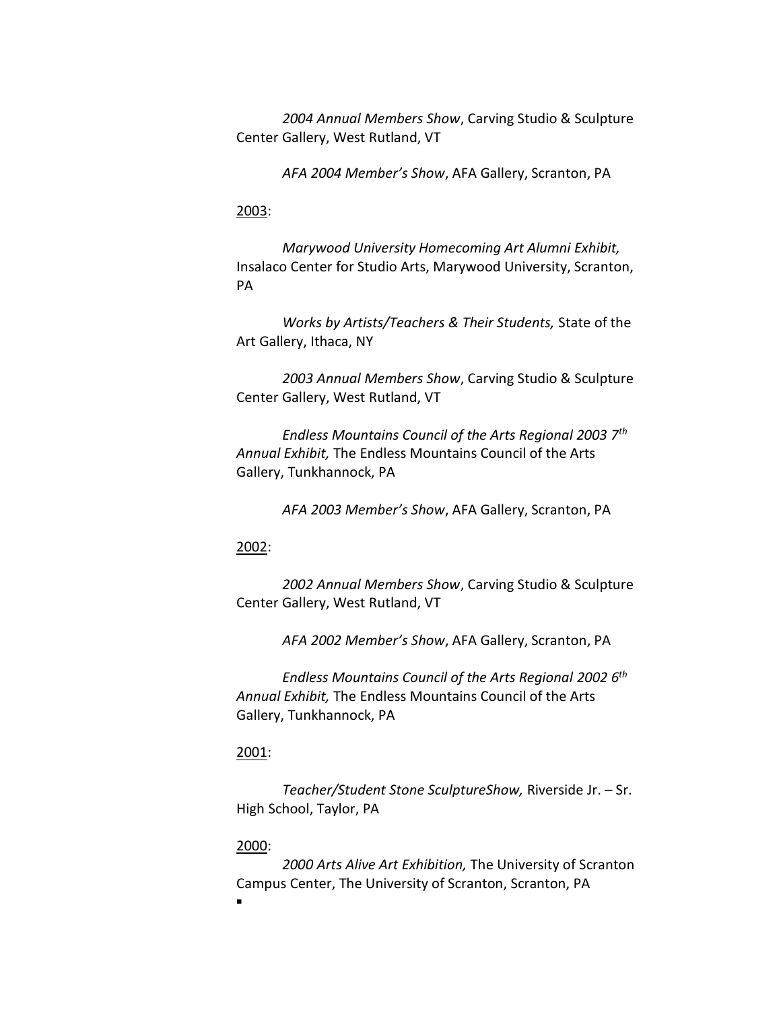*2004 Annual Members Show*, Carving Studio & Sculpture Center Gallery, West Rutland, VT

*AFA 2004 Member's Show*, AFA Gallery, Scranton, PA

# 2003:

*Marywood University Homecoming Art Alumni Exhibit,*  Insalaco Center for Studio Arts, Marywood University, Scranton, PA

*Works by Artists/Teachers & Their Students,* State of the Art Gallery, Ithaca, NY

*2003 Annual Members Show*, Carving Studio & Sculpture Center Gallery, West Rutland, VT

*Endless Mountains Council of the Arts Regional 2003 7th Annual Exhibit,* The Endless Mountains Council of the Arts Gallery, Tunkhannock, PA

*AFA 2003 Member's Show*, AFA Gallery, Scranton, PA

# 2002:

*2002 Annual Members Show*, Carving Studio & Sculpture Center Gallery, West Rutland, VT

*AFA 2002 Member's Show*, AFA Gallery, Scranton, PA

*Endless Mountains Council of the Arts Regional 2002 6th Annual Exhibit,* The Endless Mountains Council of the Arts Gallery, Tunkhannock, PA

## 2001:

*Teacher/Student Stone SculptureShow,* Riverside Jr. – Sr. High School, Taylor, PA

#### 2000:

*2000 Arts Alive Art Exhibition,* The University of Scranton Campus Center, The University of Scranton, Scranton, PA

Ξ